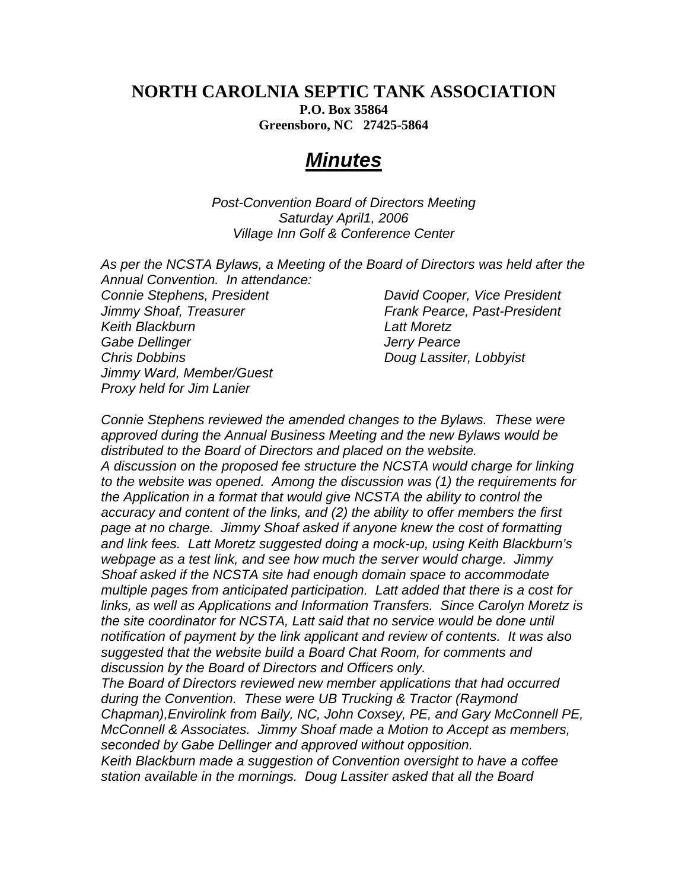## **NORTH CAROLNIA SEPTIC TANK ASSOCIATION P.O. Box 35864 Greensboro, NC 27425-5864**

## *Minutes*

*Post-Convention Board of Directors Meeting Saturday April1, 2006 Village Inn Golf & Conference Center* 

| Annual Convention. In attendance:                  | As per the NCSTA Bylaws, a Meeting of the Board of Directors was held after the |
|----------------------------------------------------|---------------------------------------------------------------------------------|
| Connie Stephens, President                         | David Cooper, Vice President                                                    |
|                                                    |                                                                                 |
|                                                    |                                                                                 |
| Keith Blackburn                                    | <b>Latt Moretz</b>                                                              |
| Gabe Dellinger                                     | <b>Jerry Pearce</b>                                                             |
| <b>Chris Dobbins</b>                               | Doug Lassiter, Lobbyist                                                         |
|                                                    |                                                                                 |
| Proxy held for Jim Lanier                          |                                                                                 |
| Jimmy Shoaf, Treasurer<br>Jimmy Ward, Member/Guest | Frank Pearce, Past-President                                                    |

*Connie Stephens reviewed the amended changes to the Bylaws. These were approved during the Annual Business Meeting and the new Bylaws would be distributed to the Board of Directors and placed on the website. A discussion on the proposed fee structure the NCSTA would charge for linking to the website was opened. Among the discussion was (1) the requirements for the Application in a format that would give NCSTA the ability to control the accuracy and content of the links, and (2) the ability to offer members the first page at no charge. Jimmy Shoaf asked if anyone knew the cost of formatting and link fees. Latt Moretz suggested doing a mock-up, using Keith Blackburn's webpage as a test link, and see how much the server would charge. Jimmy Shoaf asked if the NCSTA site had enough domain space to accommodate multiple pages from anticipated participation. Latt added that there is a cost for links, as well as Applications and Information Transfers. Since Carolyn Moretz is the site coordinator for NCSTA, Latt said that no service would be done until notification of payment by the link applicant and review of contents. It was also suggested that the website build a Board Chat Room, for comments and discussion by the Board of Directors and Officers only.* 

*The Board of Directors reviewed new member applications that had occurred during the Convention. These were UB Trucking & Tractor (Raymond Chapman),Envirolink from Baily, NC, John Coxsey, PE, and Gary McConnell PE, McConnell & Associates. Jimmy Shoaf made a Motion to Accept as members, seconded by Gabe Dellinger and approved without opposition.* 

*Keith Blackburn made a suggestion of Convention oversight to have a coffee station available in the mornings. Doug Lassiter asked that all the Board*